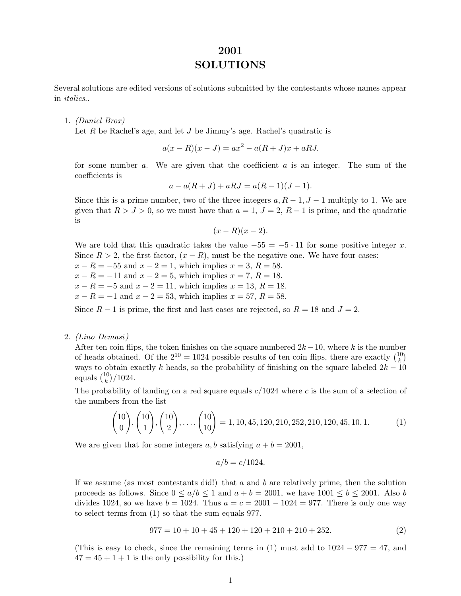# **2001 SOLUTIONS**

Several solutions are edited versions of solutions submitted by the contestants whose names appear in *italics*..

#### 1. *(Daniel Brox)*

Let R be Rachel's age, and let J be Jimmy's age. Rachel's quadratic is

$$
a(x - R)(x - J) = ax2 - a(R + J)x + aRJ.
$$

for some number  $a$ . We are given that the coefficient  $a$  is an integer. The sum of the coefficients is

$$
a - a(R + J) + aRJ = a(R - 1)(J - 1).
$$

Since this is a prime number, two of the three integers  $a, R-1, J-1$  multiply to 1. We are given that  $R > J > 0$ , so we must have that  $a = 1, J = 2, R - 1$  is prime, and the quadratic is

$$
(x-R)(x-2).
$$

We are told that this quadratic takes the value  $-55 = -5 \cdot 11$  for some positive integer x. Since  $R > 2$ , the first factor,  $(x - R)$ , must be the negative one. We have four cases:

 $x - R = -55$  and  $x - 2 = 1$ , which implies  $x = 3$ ,  $R = 58$ .  $x - R = -11$  and  $x - 2 = 5$ , which implies  $x = 7$ ,  $R = 18$ .

- $x R = -5$  and  $x 2 = 11$ , which implies  $x = 13$ ,  $R = 18$ .
- $x R = -1$  and  $x 2 = 53$ , which implies  $x = 57$ ,  $R = 58$ .

Since  $R-1$  is prime, the first and last cases are rejected, so  $R=18$  and  $J=2$ .

### 2. *(Lino Demasi )*

After ten coin flips, the token finishes on the square numbered  $2k-10$ , where k is the number of heads obtained. Of the  $2^{10} = 1024$  possible results of ten coin flips, there are exactly  $\binom{10}{k}$ ways to obtain exactly k heads, so the probability of finishing on the square labeled  $2k - 10$ equals  $\binom{10}{k}$ /1024.

The probability of landing on a red square equals  $c/1024$  where c is the sum of a selection of the numbers from the list

$$
\binom{10}{0}, \binom{10}{1}, \binom{10}{2}, \dots, \binom{10}{10} = 1, 10, 45, 120, 210, 252, 210, 120, 45, 10, 1. \tag{1}
$$

We are given that for some integers a, b satisfying  $a + b = 2001$ ,

$$
a/b = c/1024.
$$

If we assume (as most contestants did!) that  $a$  and  $b$  are relatively prime, then the solution proceeds as follows. Since  $0 \le a/b \le 1$  and  $a + b = 2001$ , we have  $1001 \le b \le 2001$ . Also b divides 1024, so we have  $b = 1024$ . Thus  $a = c = 2001 - 1024 = 977$ . There is only one way to select terms from (1) so that the sum equals 977.

$$
977 = 10 + 10 + 45 + 120 + 120 + 210 + 210 + 252.
$$
 (2)

(This is easy to check, since the remaining terms in (1) must add to  $1024 - 977 = 47$ , and  $47 = 45 + 1 + 1$  is the only possibility for this.)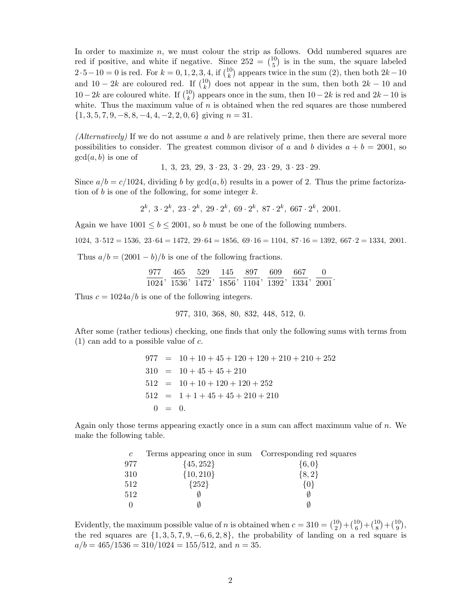In order to maximize  $n$ , we must colour the strip as follows. Odd numbered squares are red if positive, and white if negative. Since  $252 = {10 \choose 5}$  is in the sum, the square labeled  $2 \cdot 5 - 10 = 0$  is red. For  $k = 0, 1, 2, 3, 4$ , if  $\binom{10}{k}$  appears twice in the sum (2), then both  $2k - 10$ and 10 − 2k are coloured red. If  $\binom{10}{k}$  does not appear in the sum, then both 2k − 10 and 10−2k are coloured white. If  $\binom{10}{k}$  appears once in the sum, then 10−2k is red and 2k −10 is white. Thus the maximum value of  $n$  is obtained when the red squares are those numbered  $\{1, 3, 5, 7, 9, -8, 8, -4, 4, -2, 2, 0, 6\}$  giving  $n = 31$ .

*(Alternatively)* If we do not assume a and b are relatively prime, then there are several more possibilities to consider. The greatest common divisor of a and b divides  $a + b = 2001$ , so  $gcd(a, b)$  is one of

1, 3, 23, 29, 3 · 23, 3 · 29, 23 · 29, 3 · 23 · 29.

Since  $a/b = c/1024$ , dividing b by  $gcd(a, b)$  results in a power of 2. Thus the prime factorization of b is one of the following, for some integer  $k$ .

$$
2^k
$$
,  $3 \cdot 2^k$ ,  $23 \cdot 2^k$ ,  $29 \cdot 2^k$ ,  $69 \cdot 2^k$ ,  $87 \cdot 2^k$ ,  $667 \cdot 2^k$ ,  $2001$ .

Again we have  $1001 \le b \le 2001$ , so b must be one of the following numbers.

$$
1024, 3 \cdot 512 = 1536, 23 \cdot 64 = 1472, 29 \cdot 64 = 1856, 69 \cdot 16 = 1104, 87 \cdot 16 = 1392, 667 \cdot 2 = 1334, 2001.
$$

Thus  $a/b = (2001 - b)/b$  is one of the following fractions.

$$
\frac{977}{1024},\;\frac{465}{1536},\;\frac{529}{1472},\;\frac{145}{1856},\;\frac{897}{1104},\;\frac{609}{1392},\;\frac{667}{1334},\;\frac{0}{2001}.
$$

Thus  $c = 1024a/b$  is one of the following integers.

977, 310, 368, 80, 832, 448, 512, 0.

After some (rather tedious) checking, one finds that only the following sums with terms from  $(1)$  can add to a possible value of c.

> $977 = 10 + 10 + 45 + 120 + 120 + 210 + 210 + 252$  $310 = 10 + 45 + 45 + 210$  $512 = 10 + 10 + 120 + 120 + 252$  $512 = 1 + 1 + 45 + 45 + 210 + 210$  $0 = 0.$

Again only those terms appearing exactly once in a sum can affect maximum value of  $n$ . We make the following table.

| $\mathfrak{c}$ | Terms appearing once in sum Corresponding red squares |           |
|----------------|-------------------------------------------------------|-----------|
| 977            | $\{45, 252\}$                                         | $\{6,0\}$ |
| 310            | $\{10, 210\}$                                         | $\{8,2\}$ |
| 512            | ${252}$                                               |           |
| 512            |                                                       |           |
|                |                                                       |           |

Evidently, the maximum possible value of *n* is obtained when  $c = 310 = {10 \choose 2} + {10 \choose 6} + {10 \choose 8} + {10 \choose 9}$ , the red squares are  $\{1, 3, 5, 7, 9, -6, 6, 2, 8\}$ , the probability of landing on a red square is  $a/b = 465/1536 = 310/1024 = 155/512$ , and  $n = 35$ .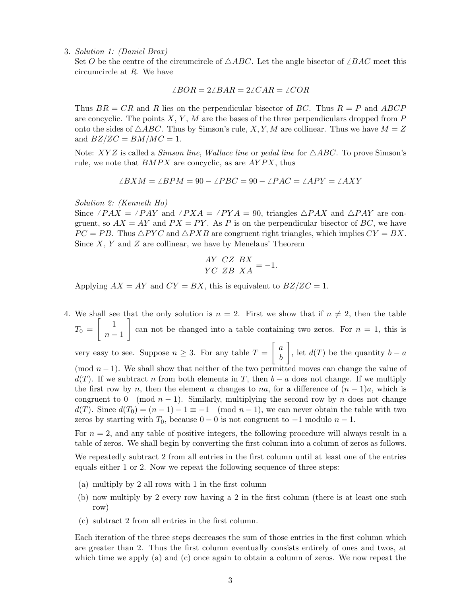3. *Solution 1: (Daniel Brox)*

Set O be the centre of the circumcircle of  $\triangle ABC$ . Let the angle bisector of  $\angle BAC$  meet this circumcircle at R. We have

$$
\angle BOR = 2\angle BAR = 2\angle CAR = \angle COR
$$

Thus  $BR = CR$  and R lies on the perpendicular bisector of BC. Thus  $R = P$  and ABCP are concyclic. The points  $X, Y, M$  are the bases of the three perpendiculars dropped from P onto the sides of  $\triangle ABC$ . Thus by Simson's rule, X, Y, M are collinear. Thus we have  $M = Z$ and  $BZ/ZC = BM/MC = 1$ .

Note:  $XYZ$  is called a *Simson line*, *Wallace line* or *pedal line* for  $\triangle ABC$ . To prove Simson's rule, we note that  $BMPX$  are concyclic, as are  $AYPX$ , thus

$$
\angle BXM = \angle BPM = 90 - \angle PBC = 90 - \angle PAC = \angle APY = \angle AXY
$$

#### *Solution 2: (Kenneth Ho)*

Since  $\angle PAX = \angle PAY$  and  $\angle PXA = \angle PYA = 90$ , triangles  $\triangle PAX$  and  $\triangle PAY$  are congruent, so  $AX = AY$  and  $PX = PY$ . As P is on the perpendicular bisector of BC, we have  $PC = PB$ . Thus  $\triangle PYC$  and  $\triangle PXB$  are congruent right triangles, which implies  $CY = BX$ . Since  $X, Y$  and  $Z$  are collinear, we have by Menelaus' Theorem

$$
\frac{AY}{YC} \frac{CZ}{ZB} \frac{BX}{XA} = -1.
$$

Applying  $AX = AY$  and  $CY = BX$ , this is equivalent to  $BZ/ZC = 1$ .

4. We shall see that the only solution is  $n = 2$ . First we show that if  $n \neq 2$ , then the table  $T_0 = \begin{bmatrix} 1 \ 1 \end{bmatrix}$  $n-1$ can not be changed into a table containing two zeros. For  $n = 1$ , this is

very easy to see. Suppose  $n \geq 3$ . For any table  $T = \begin{bmatrix} a \\ b \end{bmatrix}$ b , let  $d(T)$  be the quantity  $b - a$ 

(mod  $n-1$ ). We shall show that neither of the two permitted moves can change the value of  $d(T)$ . If we subtract n from both elements in T, then  $b - a$  does not change. If we multiply the first row by n, then the element a changes to na, for a difference of  $(n-1)a$ , which is congruent to 0 (mod  $n-1$ ). Similarly, multiplying the second row by n does not change  $d(T)$ . Since  $d(T_0)=(n-1)-1\equiv -1 \pmod{n-1}$ , we can never obtain the table with two zeros by starting with  $T_0$ , because  $0 - 0$  is not congruent to  $-1$  modulo  $n - 1$ .

For  $n = 2$ , and any table of positive integers, the following procedure will always result in a table of zeros. We shall begin by converting the first column into a column of zeros as follows.

We repeatedly subtract 2 from all entries in the first column until at least one of the entries equals either 1 or 2. Now we repeat the following sequence of three steps:

- (a) multiply by 2 all rows with 1 in the first column
- (b) now multiply by 2 every row having a 2 in the first column (there is at least one such row)
- (c) subtract 2 from all entries in the first column.

Each iteration of the three steps decreases the sum of those entries in the first column which are greater than 2. Thus the first column eventually consists entirely of ones and twos, at which time we apply (a) and (c) once again to obtain a column of zeros. We now repeat the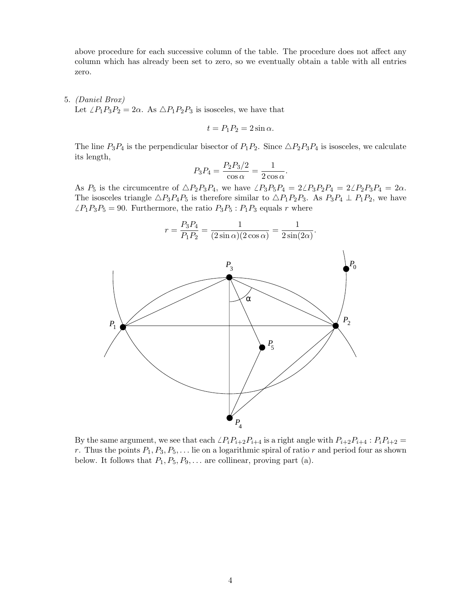above procedure for each successive column of the table. The procedure does not affect any column which has already been set to zero, so we eventually obtain a table with all entries zero.

#### 5. *(Daniel Brox)*

Let  $\angle P_1P_3P_2 = 2\alpha$ . As  $\triangle P_1P_2P_3$  is isosceles, we have that

$$
t = P_1 P_2 = 2 \sin \alpha.
$$

The line  $P_3P_4$  is the perpendicular bisector of  $P_1P_2$ . Since  $\triangle P_2P_3P_4$  is isosceles, we calculate its length,

$$
P_3 P_4 = \frac{P_2 P_3 / 2}{\cos \alpha} = \frac{1}{2 \cos \alpha}.
$$

As  $P_5$  is the circumcentre of  $\triangle P_2P_3P_4$ , we have  $\angle P_3P_5P_4 = 2\angle P_3P_2P_4 = 2\angle P_2P_3P_4 = 2\alpha$ . The isosceles triangle  $\triangle P_3P_4P_5$  is therefore similar to  $\triangle P_1P_2P_3$ . As  $P_3P_4 \perp P_1P_2$ , we have  $\angle P_1P_3P_5 = 90$ . Furthermore, the ratio  $P_3P_5$ :  $P_1P_3$  equals r where

$$
r = \frac{P_3 P_4}{P_1 P_2} = \frac{1}{(2 \sin \alpha)(2 \cos \alpha)} = \frac{1}{2 \sin(2\alpha)}.
$$



By the same argument, we see that each  $\angle P_iP_{i+2}P_{i+4}$  is a right angle with  $P_{i+2}P_{i+4}$  :  $P_iP_{i+2}$  = r. Thus the points  $P_1, P_3, P_5, \ldots$  lie on a logarithmic spiral of ratio r and period four as shown below. It follows that  $P_1, P_5, P_9, \ldots$  are collinear, proving part (a).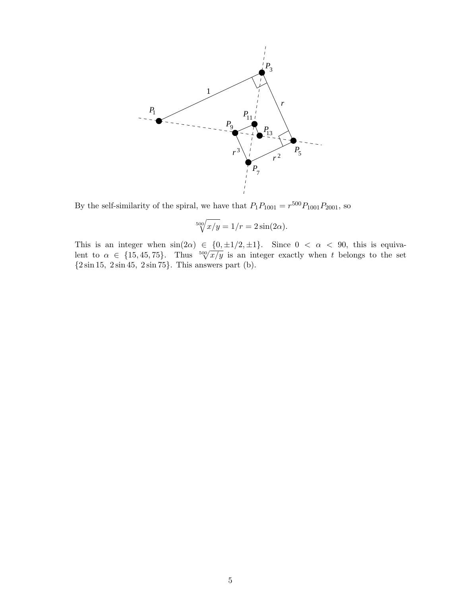

By the self-similarity of the spiral, we have that  $P_1P_{1001} = r^{500}P_{1001}P_{2001}$ , so

$$
\sqrt[500]{x/y} = 1/r = 2\sin(2\alpha).
$$

This is an integer when  $sin(2\alpha) \in \{0, \pm 1/2, \pm 1\}$ . Since  $0 < \alpha < 90$ , this is equivalent to  $\alpha \in \{15, 45, 75\}$ . Thus  $\sqrt[500]{x/y}$  is an integer exactly when t belongs to the set  ${2 \sin 15, 2 \sin 45, 2 \sin 75}.$  This answers part (b).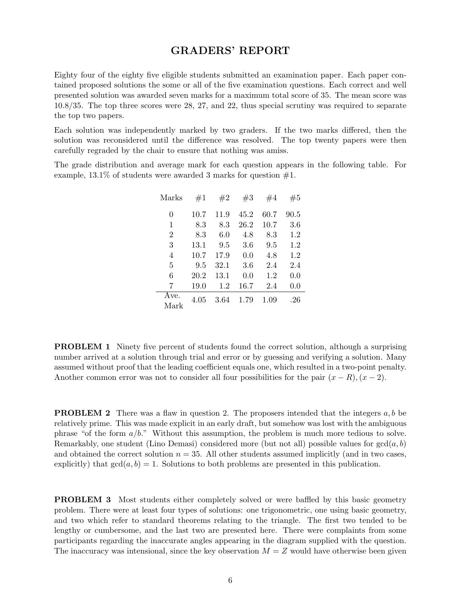## **GRADERS' REPORT**

Eighty four of the eighty five eligible students submitted an examination paper. Each paper contained proposed solutions the some or all of the five examination questions. Each correct and well presented solution was awarded seven marks for a maximum total score of 35. The mean score was 10.8/35. The top three scores were 28, 27, and 22, thus special scrutiny was required to separate the top two papers.

Each solution was independently marked by two graders. If the two marks differed, then the solution was reconsidered until the difference was resolved. The top twenty papers were then carefully regraded by the chair to ensure that nothing was amiss.

The grade distribution and average mark for each question appears in the following table. For example,  $13.1\%$  of students were awarded 3 marks for question  $\#1$ .

| Marks          | #1   | #2   | #3   | #4   | #5   |
|----------------|------|------|------|------|------|
| 0              | 10.7 | 11.9 | 45.2 | 60.7 | 90.5 |
| 1              | 8.3  | 8.3  | 26.2 | 10.7 | 3.6  |
| $\overline{2}$ | 8.3  | 6.0  | 4.8  | 8.3  | 1.2  |
| 3              | 13.1 | 9.5  | 3.6  | 9.5  | 1.2  |
| 4              | 10.7 | 17.9 | 0.0  | 4.8  | 1.2  |
| 5              | 9.5  | 32.1 | 3.6  | 2.4  | 2.4  |
| 6              | 20.2 | 13.1 | 0.0  | 1.2  | 0.0  |
| 7              | 19.0 | 1.2  | 16.7 | 2.4  | 0.0  |
| Ave.<br>Mark   | 4.05 | 3.64 | 1.79 | 1.09 | .26  |

**PROBLEM 1** Ninety five percent of students found the correct solution, although a surprising number arrived at a solution through trial and error or by guessing and verifying a solution. Many assumed without proof that the leading coefficient equals one, which resulted in a two-point penalty. Another common error was not to consider all four possibilities for the pair  $(x - R)$ ,  $(x - 2)$ .

**PROBLEM 2** There was a flaw in question 2. The proposers intended that the integers a, b be relatively prime. This was made explicit in an early draft, but somehow was lost with the ambiguous phrase "of the form  $a/b$ ." Without this assumption, the problem is much more tedious to solve. Remarkably, one student (Lino Demasi) considered more (but not all) possible values for  $gcd(a, b)$ and obtained the correct solution  $n = 35$ . All other students assumed implicitly (and in two cases, explicitly) that  $gcd(a, b) = 1$ . Solutions to both problems are presented in this publication.

**PROBLEM 3** Most students either completely solved or were baffled by this basic geometry problem. There were at least four types of solutions: one trigonometric, one using basic geometry, and two which refer to standard theorems relating to the triangle. The first two tended to be lengthy or cumbersome, and the last two are presented here. There were complaints from some participants regarding the inaccurate angles appearing in the diagram supplied with the question. The inaccuracy was intensional, since the key observation  $M = Z$  would have otherwise been given